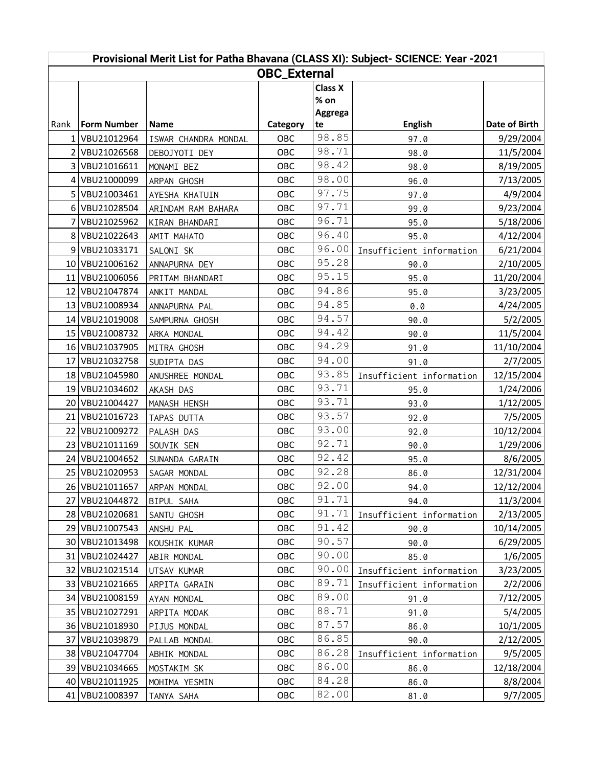| Provisional Merit List for Patha Bhavana (CLASS XI): Subject- SCIENCE: Year -2021 |                    |                      |          |                |                          |               |  |  |  |  |
|-----------------------------------------------------------------------------------|--------------------|----------------------|----------|----------------|--------------------------|---------------|--|--|--|--|
| <b>OBC_External</b>                                                               |                    |                      |          |                |                          |               |  |  |  |  |
|                                                                                   |                    |                      |          | <b>Class X</b> |                          |               |  |  |  |  |
|                                                                                   |                    |                      |          | $%$ on         |                          |               |  |  |  |  |
|                                                                                   |                    |                      |          | Aggrega        |                          |               |  |  |  |  |
| Rank                                                                              | <b>Form Number</b> | <b>Name</b>          | Category | te             | <b>English</b>           | Date of Birth |  |  |  |  |
|                                                                                   | VBU21012964        | ISWAR CHANDRA MONDAL | OBC      | 98.85          | 97.0                     | 9/29/2004     |  |  |  |  |
|                                                                                   | VBU21026568        | DEBOJYOTI DEY        | OBC      | 98.71          | 98.0                     | 11/5/2004     |  |  |  |  |
| 3                                                                                 | VBU21016611        | MONAMI BEZ           | OBC      | 98.42          | 98.0                     | 8/19/2005     |  |  |  |  |
| 4                                                                                 | VBU21000099        | ARPAN GHOSH          | OBC      | 98.00          | 96.0                     | 7/13/2005     |  |  |  |  |
| 5                                                                                 | VBU21003461        | AYESHA KHATUIN       | OBC      | 97.75          | 97.0                     | 4/9/2004      |  |  |  |  |
| 6                                                                                 | VBU21028504        | ARINDAM RAM BAHARA   | OBC      | 97.71          | 99.0                     | 9/23/2004     |  |  |  |  |
|                                                                                   | VBU21025962        | KIRAN BHANDARI       | OBC      | 96.71          | 95.0                     | 5/18/2006     |  |  |  |  |
| 8                                                                                 | VBU21022643        | AMIT MAHATO          | OBC      | 96.40          | 95.0                     | 4/12/2004     |  |  |  |  |
| 9                                                                                 | VBU21033171        | SALONI SK            | OBC      | 96.00          | Insufficient information | 6/21/2004     |  |  |  |  |
| 10                                                                                | VBU21006162        | ANNAPURNA DEY        | OBC      | 95.28          | 90.0                     | 2/10/2005     |  |  |  |  |
| 11                                                                                | VBU21006056        | PRITAM BHANDARI      | OBC      | 95.15          | 95.0                     | 11/20/2004    |  |  |  |  |
| 12                                                                                | VBU21047874        | ANKIT MANDAL         | OBC      | 94.86          | 95.0                     | 3/23/2005     |  |  |  |  |
| 13                                                                                | VBU21008934        | ANNAPURNA PAL        | OBC      | 94.85          | 0.0                      | 4/24/2005     |  |  |  |  |
| 14                                                                                | VBU21019008        | SAMPURNA GHOSH       | OBC      | 94.57          | 90.0                     | 5/2/2005      |  |  |  |  |
| 15                                                                                | VBU21008732        | ARKA MONDAL          | OBC      | 94.42          | 90.0                     | 11/5/2004     |  |  |  |  |
|                                                                                   | 16 VBU21037905     | MITRA GHOSH          | OBC      | 94.29          | 91.0                     | 11/10/2004    |  |  |  |  |
| 17                                                                                | VBU21032758        | SUDIPTA DAS          | OBC      | 94.00          | 91.0                     | 2/7/2005      |  |  |  |  |
| 18                                                                                | VBU21045980        | ANUSHREE MONDAL      | OBC      | 93.85          | Insufficient information | 12/15/2004    |  |  |  |  |
| 19                                                                                | VBU21034602        | AKASH DAS            | OBC      | 93.71          | 95.0                     | 1/24/2006     |  |  |  |  |
| 20                                                                                | VBU21004427        | MANASH HENSH         | OBC      | 93.71          | 93.0                     | 1/12/2005     |  |  |  |  |
| 21                                                                                | VBU21016723        | TAPAS DUTTA          | OBC      | 93.57          | 92.0                     | 7/5/2005      |  |  |  |  |
| 22                                                                                | VBU21009272        | PALASH DAS           | OBC      | 93.00          | 92.0                     | 10/12/2004    |  |  |  |  |
| 23                                                                                | VBU21011169        | SOUVIK SEN           | OBC      | 92.71          | 90.0                     | 1/29/2006     |  |  |  |  |
| 24                                                                                | VBU21004652        | SUNANDA GARAIN       | OBC      | 92.42          | 95.0                     | 8/6/2005      |  |  |  |  |
| 25                                                                                | VBU21020953        | SAGAR MONDAL         | OBC      | 92.28          | 86.0                     | 12/31/2004    |  |  |  |  |
|                                                                                   | 26 VBU21011657     | ARPAN MONDAL         | OBC      | 92.00          | 94.0                     | 12/12/2004    |  |  |  |  |
| 27                                                                                | VBU21044872        | BIPUL SAHA           | OBC      | 91.71          | 94.0                     | 11/3/2004     |  |  |  |  |
|                                                                                   | 28 VBU21020681     | SANTU GHOSH          | OBC      | 91.71          | Insufficient information | 2/13/2005     |  |  |  |  |
| 29                                                                                | VBU21007543        | ANSHU PAL            | OBC      | 91.42          | 90.0                     | 10/14/2005    |  |  |  |  |
| 30                                                                                | VBU21013498        | KOUSHIK KUMAR        | OBC      | 90.57          | 90.0                     | 6/29/2005     |  |  |  |  |
| 31                                                                                | VBU21024427        | ABIR MONDAL          | OBC      | 90.00          | 85.0                     | 1/6/2005      |  |  |  |  |
|                                                                                   | 32 VBU21021514     | UTSAV KUMAR          | OBC      | 90.00          | Insufficient information | 3/23/2005     |  |  |  |  |
| 33                                                                                | VBU21021665        | ARPITA GARAIN        | OBC      | 89.71          | Insufficient information | 2/2/2006      |  |  |  |  |
| 34                                                                                | VBU21008159        | AYAN MONDAL          | OBC      | 89.00          | 91.0                     | 7/12/2005     |  |  |  |  |
| 35                                                                                | VBU21027291        | ARPITA MODAK         | OBC      | 88.71          | 91.0                     | 5/4/2005      |  |  |  |  |
|                                                                                   | 36 VBU21018930     | PIJUS MONDAL         | OBC      | 87.57          | 86.0                     | 10/1/2005     |  |  |  |  |
| 37                                                                                | VBU21039879        | PALLAB MONDAL        | OBC      | 86.85          | 90.0                     | 2/12/2005     |  |  |  |  |
| 38                                                                                | VBU21047704        | ABHIK MONDAL         | OBC      | 86.28          | Insufficient information | 9/5/2005      |  |  |  |  |
| 39                                                                                | VBU21034665        | MOSTAKIM SK          | OBC      | 86.00          | 86.0                     | 12/18/2004    |  |  |  |  |
| 40                                                                                | VBU21011925        | MOHIMA YESMIN        | OBC      | 84.28          | 86.0                     | 8/8/2004      |  |  |  |  |
|                                                                                   | 41 VBU21008397     | TANYA SAHA           | OBC      | 82.00          | 81.0                     | 9/7/2005      |  |  |  |  |